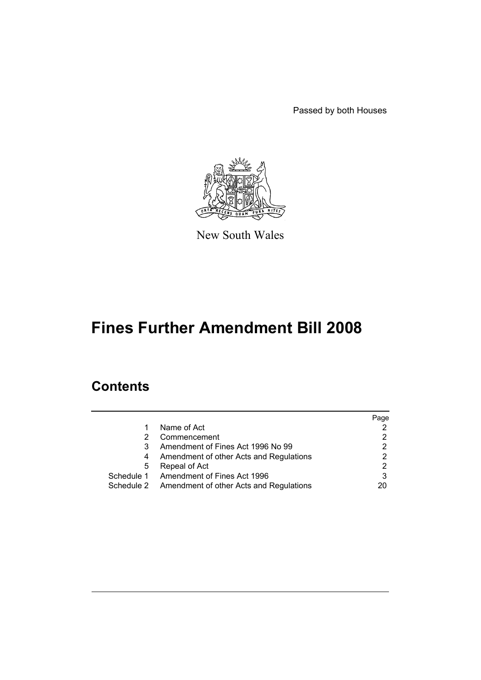Passed by both Houses



New South Wales

# **Fines Further Amendment Bill 2008**

# **Contents**

|   |                                                    | Page |
|---|----------------------------------------------------|------|
|   | Name of Act                                        |      |
|   | Commencement                                       |      |
| 3 | Amendment of Fines Act 1996 No 99                  |      |
| 4 | Amendment of other Acts and Regulations            |      |
| 5 | Repeal of Act                                      |      |
|   | Schedule 1 Amendment of Fines Act 1996             |      |
|   | Schedule 2 Amendment of other Acts and Regulations | 20   |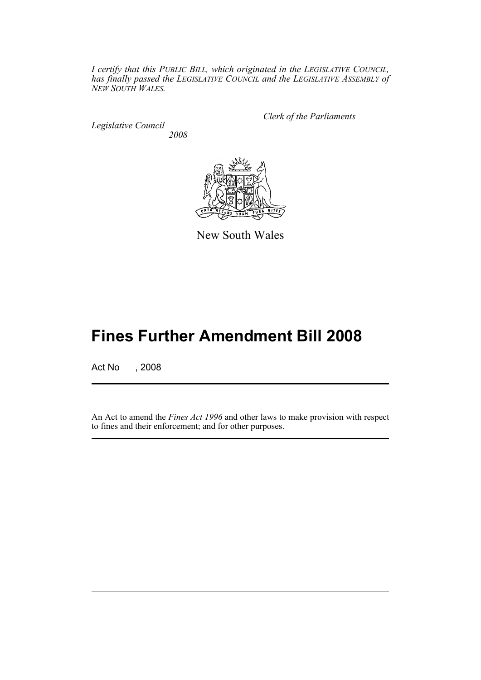*I certify that this PUBLIC BILL, which originated in the LEGISLATIVE COUNCIL, has finally passed the LEGISLATIVE COUNCIL and the LEGISLATIVE ASSEMBLY of NEW SOUTH WALES.*

*Legislative Council 2008* *Clerk of the Parliaments*



New South Wales

# **Fines Further Amendment Bill 2008**

Act No , 2008

An Act to amend the *Fines Act 1996* and other laws to make provision with respect to fines and their enforcement; and for other purposes.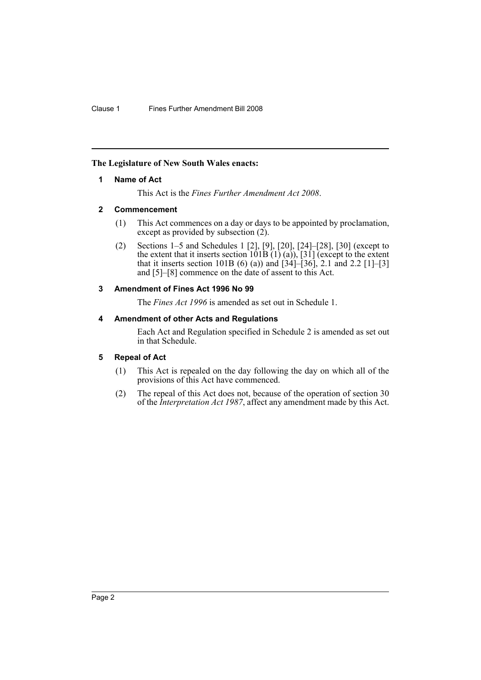# <span id="page-2-0"></span>**The Legislature of New South Wales enacts:**

# **1 Name of Act**

This Act is the *Fines Further Amendment Act 2008*.

# <span id="page-2-1"></span>**2 Commencement**

- (1) This Act commences on a day or days to be appointed by proclamation, except as provided by subsection  $(2)$ .
- (2) Sections 1–5 and Schedules 1 [2], [9], [20], [24]–[28], [30] (except to the extent that it inserts section  $\overline{101B(1)}(a)$ ),  $\overline{31}$  (except to the extent that it inserts section 101B (6) (a)) and  $\overline{34}$ – $\overline{36}$ , 2.1 and 2.2  $\overline{11}$ – $\overline{31}$ and [5]–[8] commence on the date of assent to this Act.

# <span id="page-2-2"></span>**3 Amendment of Fines Act 1996 No 99**

The *Fines Act 1996* is amended as set out in Schedule 1.

# <span id="page-2-3"></span>**4 Amendment of other Acts and Regulations**

Each Act and Regulation specified in Schedule 2 is amended as set out in that Schedule.

# <span id="page-2-4"></span>**5 Repeal of Act**

- (1) This Act is repealed on the day following the day on which all of the provisions of this Act have commenced.
- (2) The repeal of this Act does not, because of the operation of section 30 of the *Interpretation Act 1987*, affect any amendment made by this Act.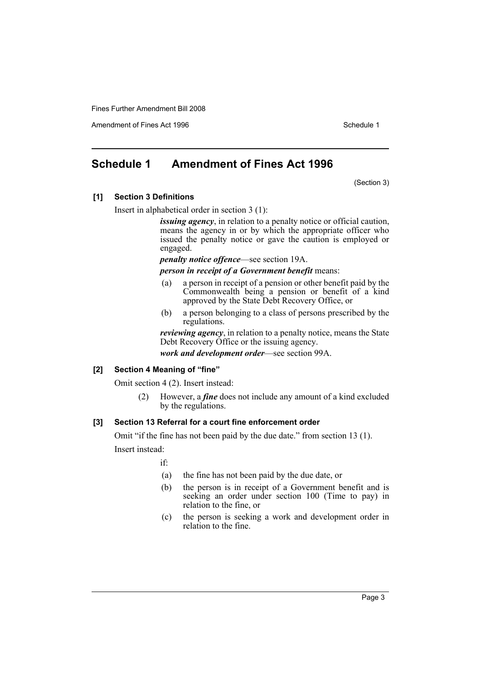Amendment of Fines Act 1996 Schedule 1

# <span id="page-3-0"></span>**Schedule 1 Amendment of Fines Act 1996**

(Section 3)

# **[1] Section 3 Definitions**

Insert in alphabetical order in section 3 (1):

*issuing agency*, in relation to a penalty notice or official caution, means the agency in or by which the appropriate officer who issued the penalty notice or gave the caution is employed or engaged.

*penalty notice offence*—see section 19A.

*person in receipt of a Government benefit* means:

- (a) a person in receipt of a pension or other benefit paid by the Commonwealth being a pension or benefit of a kind approved by the State Debt Recovery Office, or
- (b) a person belonging to a class of persons prescribed by the regulations.

*reviewing agency*, in relation to a penalty notice, means the State Debt Recovery Office or the issuing agency.

*work and development order*—see section 99A.

### **[2] Section 4 Meaning of "fine"**

Omit section 4 (2). Insert instead:

(2) However, a *fine* does not include any amount of a kind excluded by the regulations.

# **[3] Section 13 Referral for a court fine enforcement order**

Omit "if the fine has not been paid by the due date." from section 13 (1).

Insert instead:

if:

- (a) the fine has not been paid by the due date, or
- (b) the person is in receipt of a Government benefit and is seeking an order under section 100 (Time to pay) in relation to the fine, or
- (c) the person is seeking a work and development order in relation to the fine.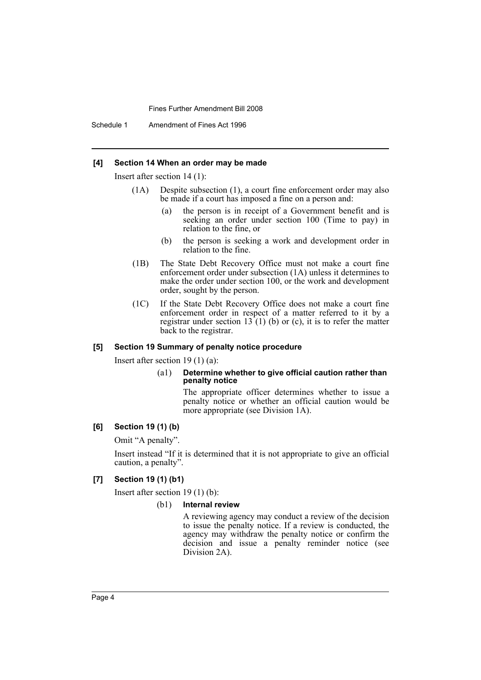Schedule 1 Amendment of Fines Act 1996

#### **[4] Section 14 When an order may be made**

Insert after section 14 (1):

- (1A) Despite subsection (1), a court fine enforcement order may also be made if a court has imposed a fine on a person and:
	- (a) the person is in receipt of a Government benefit and is seeking an order under section 100 (Time to pay) in relation to the fine, or
	- (b) the person is seeking a work and development order in relation to the fine.
- (1B) The State Debt Recovery Office must not make a court fine enforcement order under subsection (1A) unless it determines to make the order under section 100, or the work and development order, sought by the person.
- (1C) If the State Debt Recovery Office does not make a court fine enforcement order in respect of a matter referred to it by a registrar under section  $13(1)$  (b) or (c), it is to refer the matter back to the registrar.

#### **[5] Section 19 Summary of penalty notice procedure**

Insert after section 19 (1) (a):

#### (a1) **Determine whether to give official caution rather than penalty notice**

The appropriate officer determines whether to issue a penalty notice or whether an official caution would be more appropriate (see Division 1A).

# **[6] Section 19 (1) (b)**

Omit "A penalty".

Insert instead "If it is determined that it is not appropriate to give an official caution, a penalty".

### **[7] Section 19 (1) (b1)**

Insert after section 19 (1) (b):

#### (b1) **Internal review**

A reviewing agency may conduct a review of the decision to issue the penalty notice. If a review is conducted, the agency may withdraw the penalty notice or confirm the decision and issue a penalty reminder notice (see Division 2A).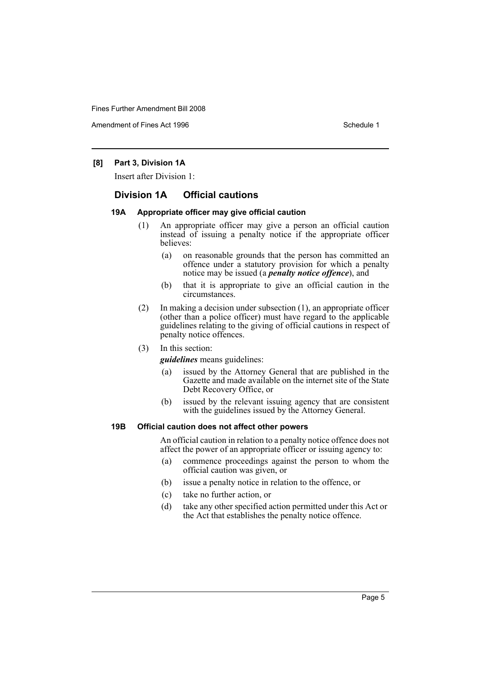Amendment of Fines Act 1996 Schedule 1

# **[8] Part 3, Division 1A**

Insert after Division 1:

# **Division 1A Official cautions**

## **19A Appropriate officer may give official caution**

- (1) An appropriate officer may give a person an official caution instead of issuing a penalty notice if the appropriate officer believes:
	- (a) on reasonable grounds that the person has committed an offence under a statutory provision for which a penalty notice may be issued (a *penalty notice offence*), and
	- (b) that it is appropriate to give an official caution in the circumstances.
- (2) In making a decision under subsection (1), an appropriate officer (other than a police officer) must have regard to the applicable guidelines relating to the giving of official cautions in respect of penalty notice offences.
- (3) In this section:

*guidelines* means guidelines:

- (a) issued by the Attorney General that are published in the Gazette and made available on the internet site of the State Debt Recovery Office, or
- (b) issued by the relevant issuing agency that are consistent with the guidelines issued by the Attorney General.

#### **19B Official caution does not affect other powers**

An official caution in relation to a penalty notice offence does not affect the power of an appropriate officer or issuing agency to:

- (a) commence proceedings against the person to whom the official caution was given, or
- (b) issue a penalty notice in relation to the offence, or
- (c) take no further action, or
- (d) take any other specified action permitted under this Act or the Act that establishes the penalty notice offence.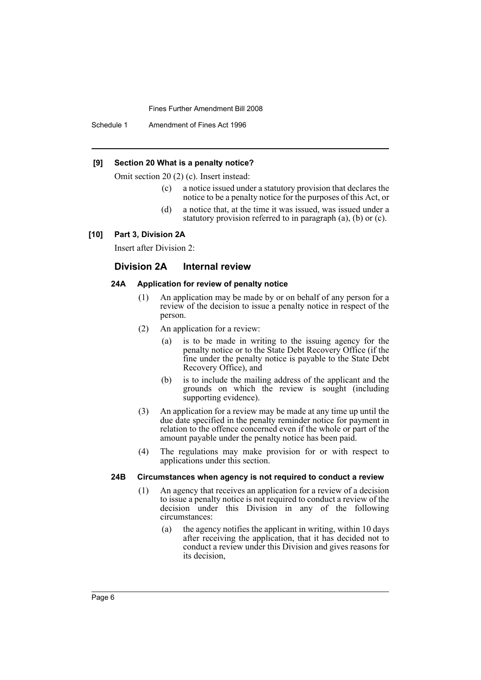Schedule 1 Amendment of Fines Act 1996

#### **[9] Section 20 What is a penalty notice?**

Omit section 20 (2) (c). Insert instead:

- (c) a notice issued under a statutory provision that declares the notice to be a penalty notice for the purposes of this Act, or
- (d) a notice that, at the time it was issued, was issued under a statutory provision referred to in paragraph (a), (b) or (c).

#### **[10] Part 3, Division 2A**

Insert after Division 2:

#### **Division 2A Internal review**

#### **24A Application for review of penalty notice**

- (1) An application may be made by or on behalf of any person for a review of the decision to issue a penalty notice in respect of the person.
- (2) An application for a review:
	- (a) is to be made in writing to the issuing agency for the penalty notice or to the State Debt Recovery Office (if the fine under the penalty notice is payable to the State Debt Recovery Office), and
	- (b) is to include the mailing address of the applicant and the grounds on which the review is sought (including supporting evidence).
- (3) An application for a review may be made at any time up until the due date specified in the penalty reminder notice for payment in relation to the offence concerned even if the whole or part of the amount payable under the penalty notice has been paid.
- (4) The regulations may make provision for or with respect to applications under this section.

## **24B Circumstances when agency is not required to conduct a review**

- (1) An agency that receives an application for a review of a decision to issue a penalty notice is not required to conduct a review of the decision under this Division in any of the following circumstances:
	- (a) the agency notifies the applicant in writing, within 10 days after receiving the application, that it has decided not to conduct a review under this Division and gives reasons for its decision,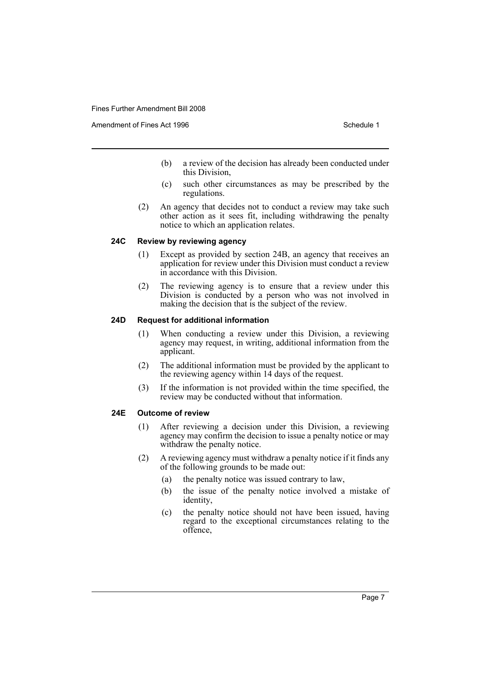Amendment of Fines Act 1996 Schedule 1

- (b) a review of the decision has already been conducted under this Division,
- (c) such other circumstances as may be prescribed by the regulations.
- (2) An agency that decides not to conduct a review may take such other action as it sees fit, including withdrawing the penalty notice to which an application relates.

# **24C Review by reviewing agency**

- (1) Except as provided by section 24B, an agency that receives an application for review under this Division must conduct a review in accordance with this Division.
- (2) The reviewing agency is to ensure that a review under this Division is conducted by a person who was not involved in making the decision that is the subject of the review.

# **24D Request for additional information**

- (1) When conducting a review under this Division, a reviewing agency may request, in writing, additional information from the applicant.
- (2) The additional information must be provided by the applicant to the reviewing agency within 14 days of the request.
- (3) If the information is not provided within the time specified, the review may be conducted without that information.

# **24E Outcome of review**

- (1) After reviewing a decision under this Division, a reviewing agency may confirm the decision to issue a penalty notice or may withdraw the penalty notice.
- (2) A reviewing agency must withdraw a penalty notice if it finds any of the following grounds to be made out:
	- (a) the penalty notice was issued contrary to law,
	- (b) the issue of the penalty notice involved a mistake of identity,
	- (c) the penalty notice should not have been issued, having regard to the exceptional circumstances relating to the offence,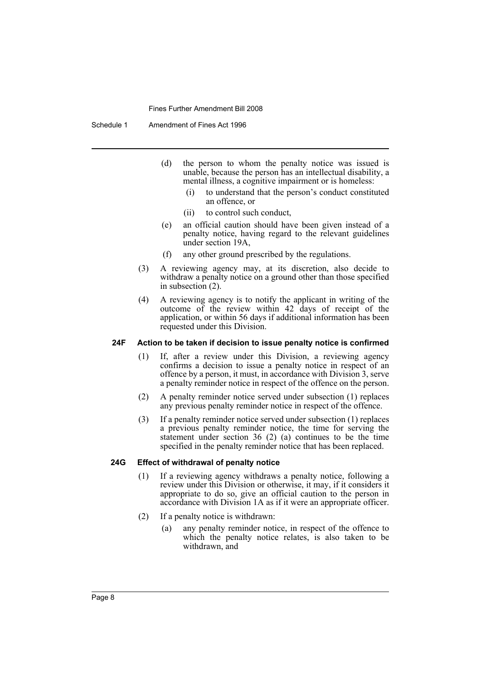Schedule 1 Amendment of Fines Act 1996

- (d) the person to whom the penalty notice was issued is unable, because the person has an intellectual disability, a mental illness, a cognitive impairment or is homeless:
	- (i) to understand that the person's conduct constituted an offence, or
	- (ii) to control such conduct,
- (e) an official caution should have been given instead of a penalty notice, having regard to the relevant guidelines under section 19A,
- (f) any other ground prescribed by the regulations.
- (3) A reviewing agency may, at its discretion, also decide to withdraw a penalty notice on a ground other than those specified in subsection (2).
- (4) A reviewing agency is to notify the applicant in writing of the outcome of the review within 42 days of receipt of the application, or within 56 days if additional information has been requested under this Division.

# **24F Action to be taken if decision to issue penalty notice is confirmed**

- (1) If, after a review under this Division, a reviewing agency confirms a decision to issue a penalty notice in respect of an offence by a person, it must, in accordance with Division 3, serve a penalty reminder notice in respect of the offence on the person.
- (2) A penalty reminder notice served under subsection (1) replaces any previous penalty reminder notice in respect of the offence.
- (3) If a penalty reminder notice served under subsection (1) replaces a previous penalty reminder notice, the time for serving the statement under section 36 (2) (a) continues to be the time specified in the penalty reminder notice that has been replaced.

#### **24G Effect of withdrawal of penalty notice**

- (1) If a reviewing agency withdraws a penalty notice, following a review under this Division or otherwise, it may, if it considers it appropriate to do so, give an official caution to the person in accordance with Division 1A as if it were an appropriate officer.
- (2) If a penalty notice is withdrawn:
	- (a) any penalty reminder notice, in respect of the offence to which the penalty notice relates, is also taken to be withdrawn, and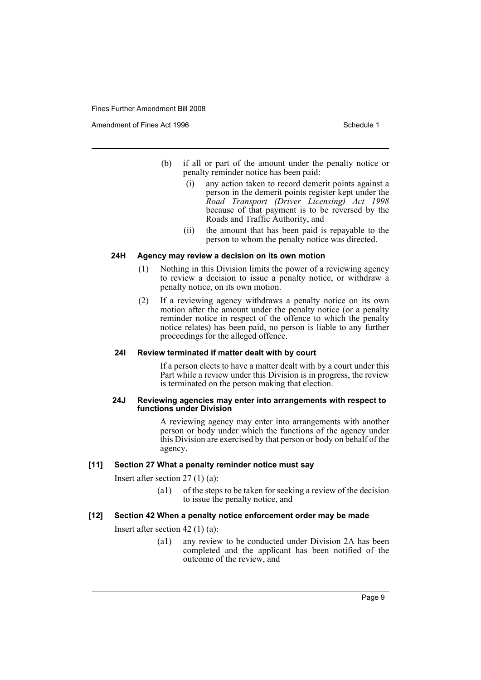Amendment of Fines Act 1996 Schedule 1

- (b) if all or part of the amount under the penalty notice or penalty reminder notice has been paid:
	- (i) any action taken to record demerit points against a person in the demerit points register kept under the *Road Transport (Driver Licensing) Act 1998* because of that payment is to be reversed by the Roads and Traffic Authority, and
	- (ii) the amount that has been paid is repayable to the person to whom the penalty notice was directed.

#### **24H Agency may review a decision on its own motion**

- (1) Nothing in this Division limits the power of a reviewing agency to review a decision to issue a penalty notice, or withdraw a penalty notice, on its own motion.
- (2) If a reviewing agency withdraws a penalty notice on its own motion after the amount under the penalty notice (or a penalty reminder notice in respect of the offence to which the penalty notice relates) has been paid, no person is liable to any further proceedings for the alleged offence.

## **24I Review terminated if matter dealt with by court**

If a person elects to have a matter dealt with by a court under this Part while a review under this Division is in progress, the review is terminated on the person making that election.

#### **24J Reviewing agencies may enter into arrangements with respect to functions under Division**

A reviewing agency may enter into arrangements with another person or body under which the functions of the agency under this Division are exercised by that person or body on behalf of the agency.

#### **[11] Section 27 What a penalty reminder notice must say**

Insert after section 27 (1) (a):

(a1) of the steps to be taken for seeking a review of the decision to issue the penalty notice, and

#### **[12] Section 42 When a penalty notice enforcement order may be made**

Insert after section 42 (1) (a):

(a1) any review to be conducted under Division 2A has been completed and the applicant has been notified of the outcome of the review, and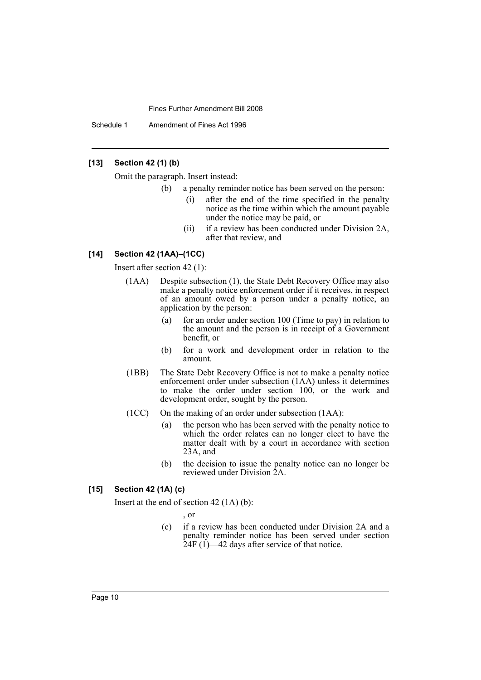Schedule 1 Amendment of Fines Act 1996

# **[13] Section 42 (1) (b)**

Omit the paragraph. Insert instead:

- (b) a penalty reminder notice has been served on the person:
	- (i) after the end of the time specified in the penalty notice as the time within which the amount payable under the notice may be paid, or
	- (ii) if a review has been conducted under Division 2A, after that review, and

## **[14] Section 42 (1AA)–(1CC)**

Insert after section 42 (1):

- (1AA) Despite subsection (1), the State Debt Recovery Office may also make a penalty notice enforcement order if it receives, in respect of an amount owed by a person under a penalty notice, an application by the person:
	- (a) for an order under section 100 (Time to pay) in relation to the amount and the person is in receipt of a Government benefit, or
	- (b) for a work and development order in relation to the amount.
- (1BB) The State Debt Recovery Office is not to make a penalty notice enforcement order under subsection (1AA) unless it determines to make the order under section 100, or the work and development order, sought by the person.
- (1CC) On the making of an order under subsection (1AA):
	- (a) the person who has been served with the penalty notice to which the order relates can no longer elect to have the matter dealt with by a court in accordance with section 23A, and
	- (b) the decision to issue the penalty notice can no longer be reviewed under Division 2A.

#### **[15] Section 42 (1A) (c)**

Insert at the end of section 42 (1A) (b):

, or

(c) if a review has been conducted under Division 2A and a penalty reminder notice has been served under section  $24F (1)$ —42 days after service of that notice.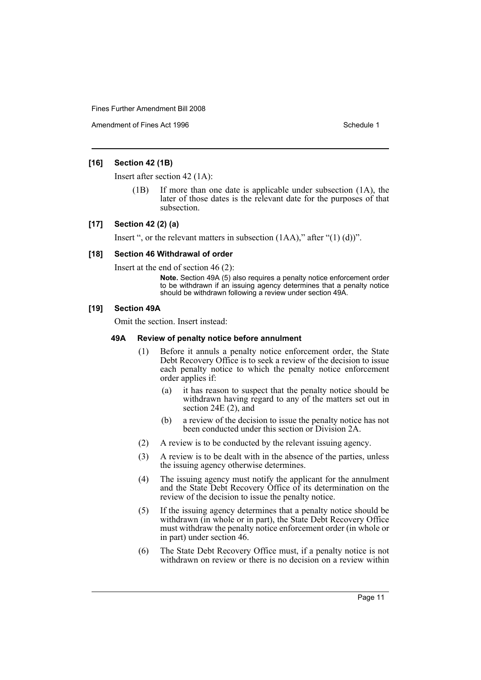Amendment of Fines Act 1996 Schedule 1

## **[16] Section 42 (1B)**

Insert after section 42 (1A):

If more than one date is applicable under subsection  $(1A)$ , the later of those dates is the relevant date for the purposes of that subsection.

#### **[17] Section 42 (2) (a)**

Insert ", or the relevant matters in subsection  $(1AA)$ ," after " $(1)$   $(d)$ ".

## **[18] Section 46 Withdrawal of order**

Insert at the end of section 46 (2):

**Note.** Section 49A (5) also requires a penalty notice enforcement order to be withdrawn if an issuing agency determines that a penalty notice should be withdrawn following a review under section 49A.

#### **[19] Section 49A**

Omit the section. Insert instead:

#### **49A Review of penalty notice before annulment**

- (1) Before it annuls a penalty notice enforcement order, the State Debt Recovery Office is to seek a review of the decision to issue each penalty notice to which the penalty notice enforcement order applies if:
	- (a) it has reason to suspect that the penalty notice should be withdrawn having regard to any of the matters set out in section 24E (2), and
	- (b) a review of the decision to issue the penalty notice has not been conducted under this section or Division 2A.
- (2) A review is to be conducted by the relevant issuing agency.
- (3) A review is to be dealt with in the absence of the parties, unless the issuing agency otherwise determines.
- (4) The issuing agency must notify the applicant for the annulment and the State Debt Recovery Office of its determination on the review of the decision to issue the penalty notice.
- (5) If the issuing agency determines that a penalty notice should be withdrawn (in whole or in part), the State Debt Recovery Office must withdraw the penalty notice enforcement order (in whole or in part) under section 46.
- (6) The State Debt Recovery Office must, if a penalty notice is not withdrawn on review or there is no decision on a review within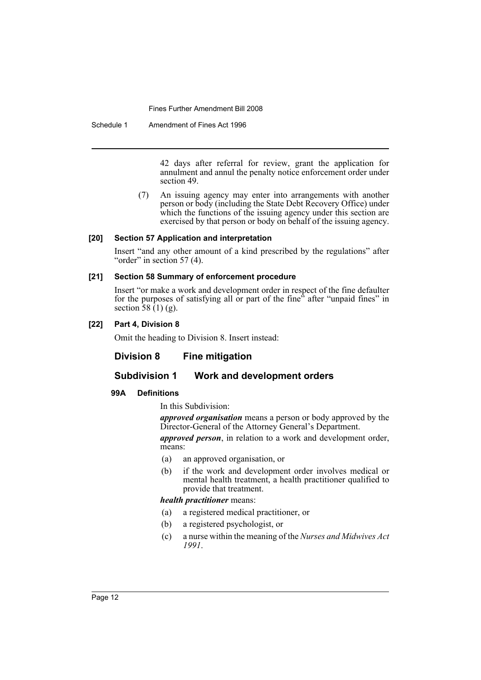Schedule 1 Amendment of Fines Act 1996

42 days after referral for review, grant the application for annulment and annul the penalty notice enforcement order under section 49.

(7) An issuing agency may enter into arrangements with another person or body (including the State Debt Recovery Office) under which the functions of the issuing agency under this section are exercised by that person or body on behalf of the issuing agency.

# **[20] Section 57 Application and interpretation**

Insert "and any other amount of a kind prescribed by the regulations" after "order" in section  $57(4)$ .

# **[21] Section 58 Summary of enforcement procedure**

Insert "or make a work and development order in respect of the fine defaulter for the purposes of satisfying all or part of the fine<sup>3</sup> after "unpaid fines" in section  $\overline{58}$  (1) (g).

# **[22] Part 4, Division 8**

Omit the heading to Division 8. Insert instead:

# **Division 8 Fine mitigation**

# **Subdivision 1 Work and development orders**

# **99A Definitions**

In this Subdivision:

*approved organisation* means a person or body approved by the Director-General of the Attorney General's Department.

*approved person*, in relation to a work and development order, means:

- (a) an approved organisation, or
- (b) if the work and development order involves medical or mental health treatment, a health practitioner qualified to provide that treatment.

## *health practitioner* means:

- (a) a registered medical practitioner, or
- (b) a registered psychologist, or
- (c) a nurse within the meaning of the *Nurses and Midwives Act 1991*.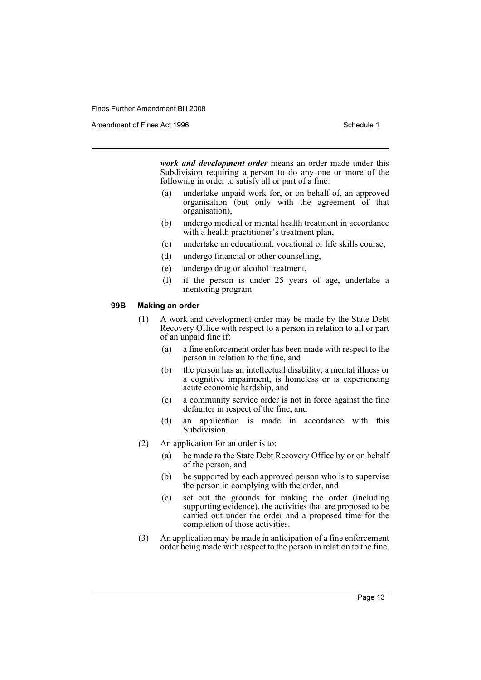Amendment of Fines Act 1996 Schedule 1

*work and development order* means an order made under this Subdivision requiring a person to do any one or more of the following in order to satisfy all or part of a fine:

- (a) undertake unpaid work for, or on behalf of, an approved organisation (but only with the agreement of that organisation),
- (b) undergo medical or mental health treatment in accordance with a health practitioner's treatment plan,
- (c) undertake an educational, vocational or life skills course,
- (d) undergo financial or other counselling,
- (e) undergo drug or alcohol treatment,
- (f) if the person is under 25 years of age, undertake a mentoring program.

#### **99B Making an order**

- (1) A work and development order may be made by the State Debt Recovery Office with respect to a person in relation to all or part of an unpaid fine if:
	- (a) a fine enforcement order has been made with respect to the person in relation to the fine, and
	- (b) the person has an intellectual disability, a mental illness or a cognitive impairment, is homeless or is experiencing acute economic hardship, and
	- (c) a community service order is not in force against the fine defaulter in respect of the fine, and
	- (d) an application is made in accordance with this Subdivision.
- (2) An application for an order is to:
	- (a) be made to the State Debt Recovery Office by or on behalf of the person, and
	- (b) be supported by each approved person who is to supervise the person in complying with the order, and
	- (c) set out the grounds for making the order (including supporting evidence), the activities that are proposed to be carried out under the order and a proposed time for the completion of those activities.
- (3) An application may be made in anticipation of a fine enforcement order being made with respect to the person in relation to the fine.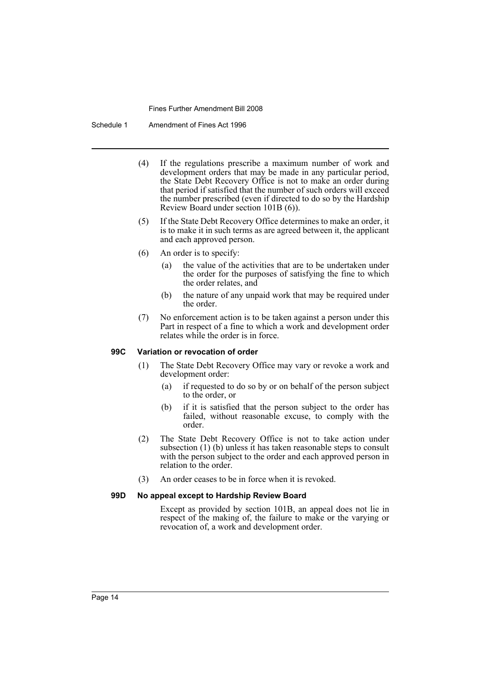Schedule 1 Amendment of Fines Act 1996

- (4) If the regulations prescribe a maximum number of work and development orders that may be made in any particular period, the State Debt Recovery Office is not to make an order during that period if satisfied that the number of such orders will exceed the number prescribed (even if directed to do so by the Hardship Review Board under section 101B (6)).
- (5) If the State Debt Recovery Office determines to make an order, it is to make it in such terms as are agreed between it, the applicant and each approved person.
- (6) An order is to specify:
	- (a) the value of the activities that are to be undertaken under the order for the purposes of satisfying the fine to which the order relates, and
	- (b) the nature of any unpaid work that may be required under the order.
- (7) No enforcement action is to be taken against a person under this Part in respect of a fine to which a work and development order relates while the order is in force.

#### **99C Variation or revocation of order**

- (1) The State Debt Recovery Office may vary or revoke a work and development order:
	- (a) if requested to do so by or on behalf of the person subject to the order, or
	- (b) if it is satisfied that the person subject to the order has failed, without reasonable excuse, to comply with the order.
- (2) The State Debt Recovery Office is not to take action under subsection (1) (b) unless it has taken reasonable steps to consult with the person subject to the order and each approved person in relation to the order.
- (3) An order ceases to be in force when it is revoked.

#### **99D No appeal except to Hardship Review Board**

Except as provided by section 101B, an appeal does not lie in respect of the making of, the failure to make or the varying or revocation of, a work and development order.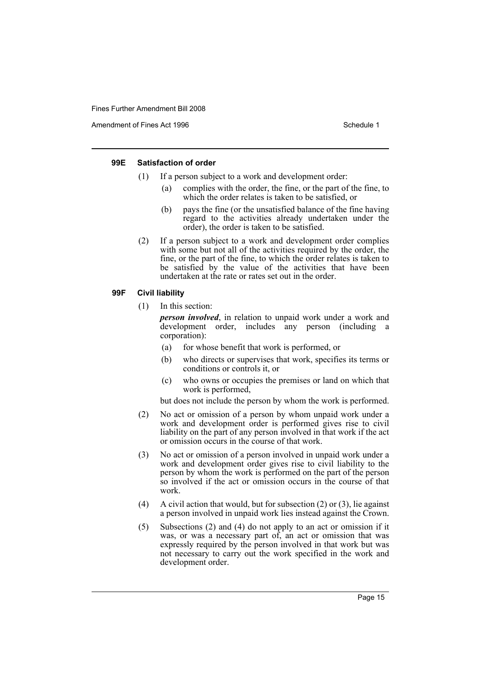Amendment of Fines Act 1996 Schedule 1

#### **99E Satisfaction of order**

- (1) If a person subject to a work and development order:
	- (a) complies with the order, the fine, or the part of the fine, to which the order relates is taken to be satisfied, or
	- (b) pays the fine (or the unsatisfied balance of the fine having regard to the activities already undertaken under the order), the order is taken to be satisfied.
- (2) If a person subject to a work and development order complies with some but not all of the activities required by the order, the fine, or the part of the fine, to which the order relates is taken to be satisfied by the value of the activities that have been undertaken at the rate or rates set out in the order.

#### **99F Civil liability**

(1) In this section:

*person involved*, in relation to unpaid work under a work and development order, includes any person (including a corporation):

- (a) for whose benefit that work is performed, or
- (b) who directs or supervises that work, specifies its terms or conditions or controls it, or
- (c) who owns or occupies the premises or land on which that work is performed,

but does not include the person by whom the work is performed.

- (2) No act or omission of a person by whom unpaid work under a work and development order is performed gives rise to civil liability on the part of any person involved in that work if the act or omission occurs in the course of that work.
- (3) No act or omission of a person involved in unpaid work under a work and development order gives rise to civil liability to the person by whom the work is performed on the part of the person so involved if the act or omission occurs in the course of that work.
- (4) A civil action that would, but for subsection (2) or (3), lie against a person involved in unpaid work lies instead against the Crown.
- (5) Subsections (2) and (4) do not apply to an act or omission if it was, or was a necessary part of, an act or omission that was expressly required by the person involved in that work but was not necessary to carry out the work specified in the work and development order.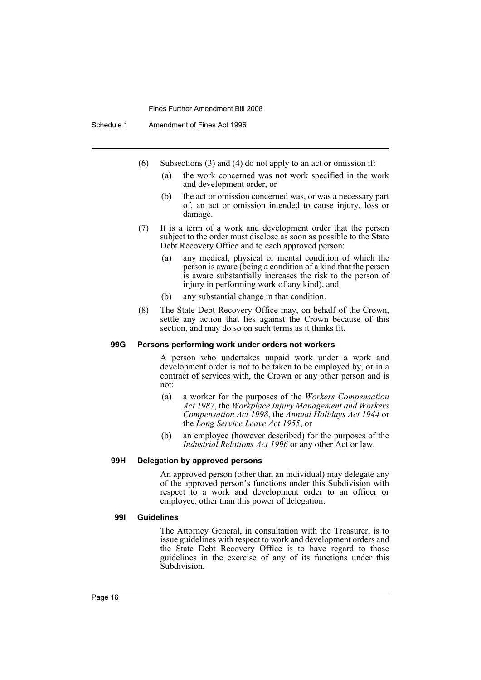Schedule 1 Amendment of Fines Act 1996

- (6) Subsections (3) and (4) do not apply to an act or omission if:
	- (a) the work concerned was not work specified in the work and development order, or
	- (b) the act or omission concerned was, or was a necessary part of, an act or omission intended to cause injury, loss or damage.
- (7) It is a term of a work and development order that the person subject to the order must disclose as soon as possible to the State Debt Recovery Office and to each approved person:
	- (a) any medical, physical or mental condition of which the person is aware (being a condition of a kind that the person is aware substantially increases the risk to the person of injury in performing work of any kind), and
	- (b) any substantial change in that condition.
- (8) The State Debt Recovery Office may, on behalf of the Crown, settle any action that lies against the Crown because of this section, and may do so on such terms as it thinks fit.

#### **99G Persons performing work under orders not workers**

A person who undertakes unpaid work under a work and development order is not to be taken to be employed by, or in a contract of services with, the Crown or any other person and is not:

- (a) a worker for the purposes of the *Workers Compensation Act 1987*, the *Workplace Injury Management and Workers Compensation Act 1998*, the *Annual Holidays Act 1944* or the *Long Service Leave Act 1955*, or
- (b) an employee (however described) for the purposes of the *Industrial Relations Act 1996* or any other Act or law.

#### **99H Delegation by approved persons**

An approved person (other than an individual) may delegate any of the approved person's functions under this Subdivision with respect to a work and development order to an officer or employee, other than this power of delegation.

#### **99I Guidelines**

The Attorney General, in consultation with the Treasurer, is to issue guidelines with respect to work and development orders and the State Debt Recovery Office is to have regard to those guidelines in the exercise of any of its functions under this Subdivision.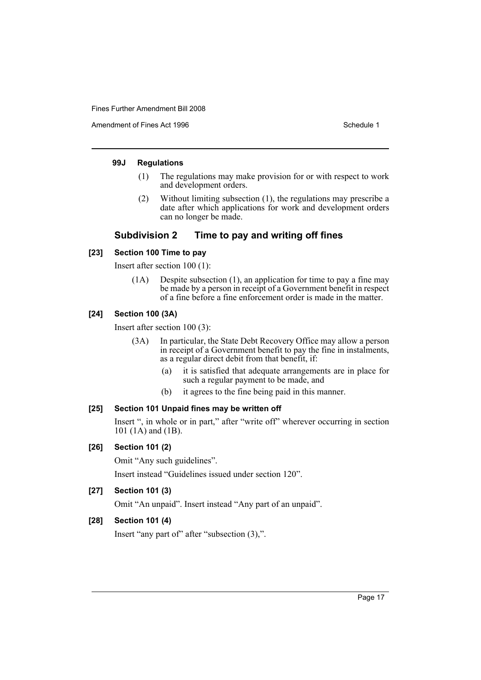Amendment of Fines Act 1996 Schedule 1

# **99J Regulations**

- (1) The regulations may make provision for or with respect to work and development orders.
- (2) Without limiting subsection (1), the regulations may prescribe a date after which applications for work and development orders can no longer be made.

# **Subdivision 2 Time to pay and writing off fines**

# **[23] Section 100 Time to pay**

Insert after section 100 (1):

(1A) Despite subsection (1), an application for time to pay a fine may be made by a person in receipt of a Government benefit in respect of a fine before a fine enforcement order is made in the matter.

# **[24] Section 100 (3A)**

Insert after section 100 (3):

- (3A) In particular, the State Debt Recovery Office may allow a person in receipt of a Government benefit to pay the fine in instalments, as a regular direct debit from that benefit, if:
	- (a) it is satisfied that adequate arrangements are in place for such a regular payment to be made, and
	- (b) it agrees to the fine being paid in this manner.

# **[25] Section 101 Unpaid fines may be written off**

Insert ", in whole or in part," after "write off" wherever occurring in section 101 (1A) and (1B).

# **[26] Section 101 (2)**

Omit "Any such guidelines".

Insert instead "Guidelines issued under section 120".

# **[27] Section 101 (3)**

Omit "An unpaid". Insert instead "Any part of an unpaid".

# **[28] Section 101 (4)**

Insert "any part of" after "subsection (3),".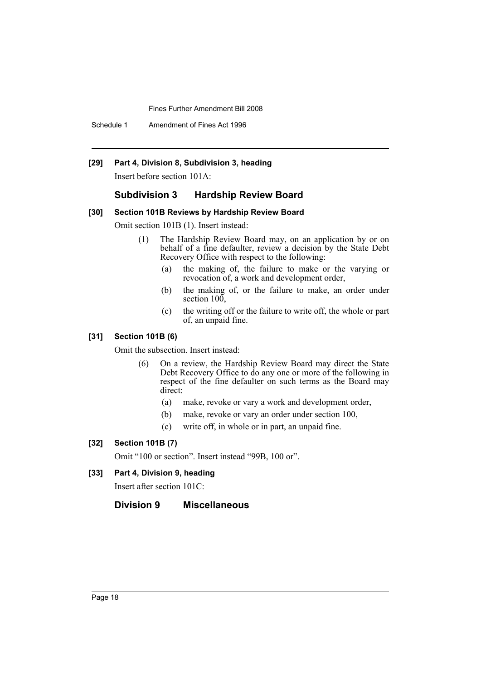Schedule 1 Amendment of Fines Act 1996

# **[29] Part 4, Division 8, Subdivision 3, heading**

Insert before section 101A:

#### **Subdivision 3 Hardship Review Board**

#### **[30] Section 101B Reviews by Hardship Review Board**

Omit section 101B (1). Insert instead:

- (1) The Hardship Review Board may, on an application by or on behalf of a fine defaulter, review a decision by the State Debt Recovery Office with respect to the following:
	- (a) the making of, the failure to make or the varying or revocation of, a work and development order,
	- (b) the making of, or the failure to make, an order under section 100,
	- (c) the writing off or the failure to write off, the whole or part of, an unpaid fine.

## **[31] Section 101B (6)**

Omit the subsection. Insert instead:

- (6) On a review, the Hardship Review Board may direct the State Debt Recovery Office to do any one or more of the following in respect of the fine defaulter on such terms as the Board may direct:
	- (a) make, revoke or vary a work and development order,
	- (b) make, revoke or vary an order under section 100,
	- (c) write off, in whole or in part, an unpaid fine.

## **[32] Section 101B (7)**

Omit "100 or section". Insert instead "99B, 100 or".

**[33] Part 4, Division 9, heading**

Insert after section 101C:

# **Division 9 Miscellaneous**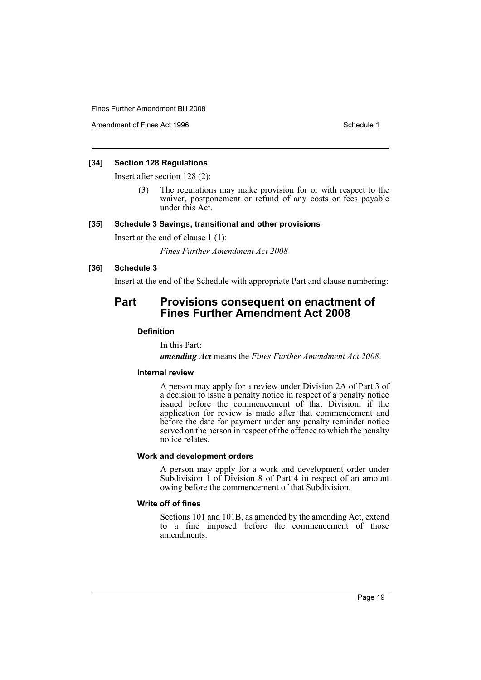Amendment of Fines Act 1996 Schedule 1

# **[34] Section 128 Regulations**

Insert after section 128 (2):

The regulations may make provision for or with respect to the waiver, postponement or refund of any costs or fees payable under this Act.

#### **[35] Schedule 3 Savings, transitional and other provisions**

Insert at the end of clause 1 (1):

*Fines Further Amendment Act 2008*

# **[36] Schedule 3**

Insert at the end of the Schedule with appropriate Part and clause numbering:

# **Part Provisions consequent on enactment of Fines Further Amendment Act 2008**

# **Definition**

In this Part:

*amending Act* means the *Fines Further Amendment Act 2008*.

#### **Internal review**

A person may apply for a review under Division 2A of Part 3 of a decision to issue a penalty notice in respect of a penalty notice issued before the commencement of that Division, if the application for review is made after that commencement and before the date for payment under any penalty reminder notice served on the person in respect of the offence to which the penalty notice relates.

# **Work and development orders**

A person may apply for a work and development order under Subdivision 1 of Division 8 of Part 4 in respect of an amount owing before the commencement of that Subdivision.

### **Write off of fines**

Sections 101 and 101B, as amended by the amending Act, extend to a fine imposed before the commencement of those amendments.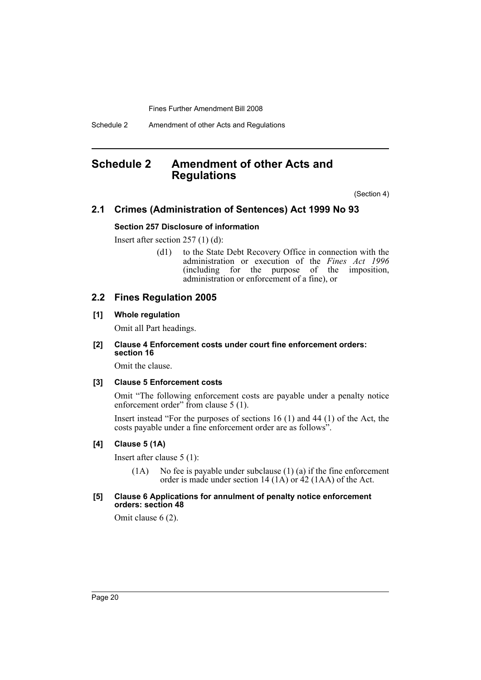Schedule 2 Amendment of other Acts and Regulations

# <span id="page-20-0"></span>**Schedule 2 Amendment of other Acts and Regulations**

(Section 4)

# **2.1 Crimes (Administration of Sentences) Act 1999 No 93**

# **Section 257 Disclosure of information**

Insert after section 257 (1) (d):

(d1) to the State Debt Recovery Office in connection with the administration or execution of the *Fines Act 1996* (including for the purpose of the imposition, administration or enforcement of a fine), or

# **2.2 Fines Regulation 2005**

#### **[1] Whole regulation**

Omit all Part headings.

#### **[2] Clause 4 Enforcement costs under court fine enforcement orders: section 16**

Omit the clause.

#### **[3] Clause 5 Enforcement costs**

Omit "The following enforcement costs are payable under a penalty notice enforcement order" from clause 5 (1).

Insert instead "For the purposes of sections 16 (1) and 44 (1) of the Act, the costs payable under a fine enforcement order are as follows".

#### **[4] Clause 5 (1A)**

Insert after clause 5 (1):

 $(1A)$  No fee is payable under subclause  $(1)$   $(a)$  if the fine enforcement order is made under section 14 (1A) or 42 (1AA) of the Act.

#### **[5] Clause 6 Applications for annulment of penalty notice enforcement orders: section 48**

Omit clause 6 (2).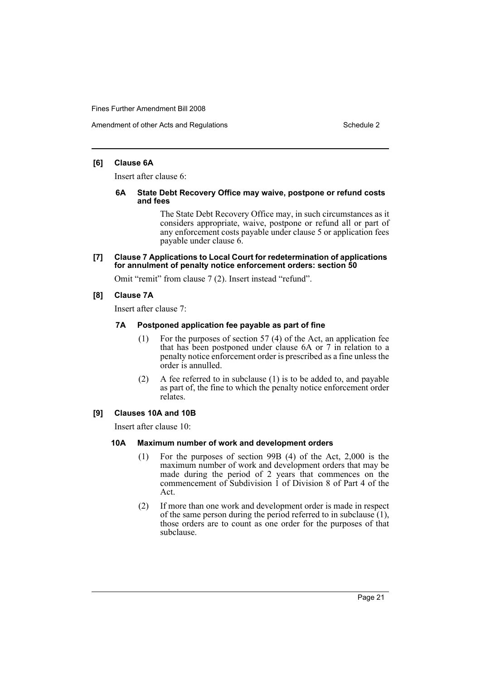#### **[6] Clause 6A**

Insert after clause 6:

#### **6A State Debt Recovery Office may waive, postpone or refund costs and fees**

The State Debt Recovery Office may, in such circumstances as it considers appropriate, waive, postpone or refund all or part of any enforcement costs payable under clause 5 or application fees payable under clause 6.

**[7] Clause 7 Applications to Local Court for redetermination of applications for annulment of penalty notice enforcement orders: section 50**

Omit "remit" from clause 7 (2). Insert instead "refund".

## **[8] Clause 7A**

Insert after clause 7:

# **7A Postponed application fee payable as part of fine**

- (1) For the purposes of section 57 (4) of the Act, an application fee that has been postponed under clause 6A or 7 in relation to a penalty notice enforcement order is prescribed as a fine unless the order is annulled.
- (2) A fee referred to in subclause (1) is to be added to, and payable as part of, the fine to which the penalty notice enforcement order relates.

# **[9] Clauses 10A and 10B**

Insert after clause 10:

#### **10A Maximum number of work and development orders**

- (1) For the purposes of section 99B (4) of the Act, 2,000 is the maximum number of work and development orders that may be made during the period of 2 years that commences on the commencement of Subdivision 1 of Division 8 of Part 4 of the Act.
- (2) If more than one work and development order is made in respect of the same person during the period referred to in subclause  $(1)$ , those orders are to count as one order for the purposes of that subclause.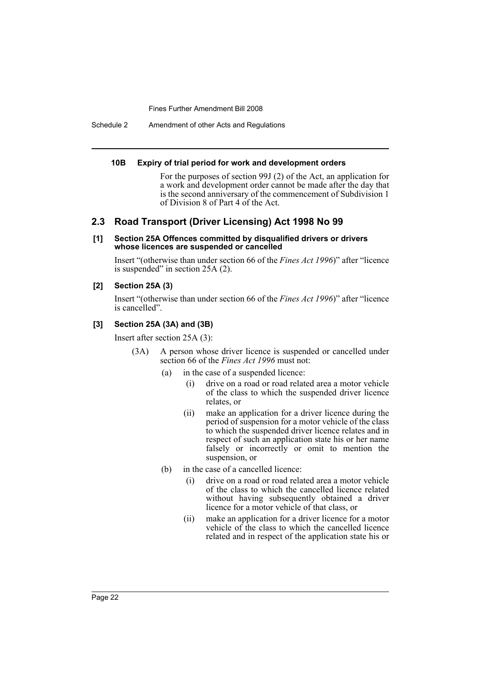Schedule 2 Amendment of other Acts and Regulations

#### **10B Expiry of trial period for work and development orders**

For the purposes of section 99J (2) of the Act, an application for a work and development order cannot be made after the day that is the second anniversary of the commencement of Subdivision 1 of Division 8 of Part 4 of the Act.

# **2.3 Road Transport (Driver Licensing) Act 1998 No 99**

#### **[1] Section 25A Offences committed by disqualified drivers or drivers whose licences are suspended or cancelled**

Insert "(otherwise than under section 66 of the *Fines Act 1996*)" after "licence is suspended" in section 25A (2).

#### **[2] Section 25A (3)**

Insert "(otherwise than under section 66 of the *Fines Act 1996*)" after "licence is cancelled".

#### **[3] Section 25A (3A) and (3B)**

Insert after section 25A (3):

- (3A) A person whose driver licence is suspended or cancelled under section 66 of the *Fines Act 1996* must not:
	- (a) in the case of a suspended licence:
		- (i) drive on a road or road related area a motor vehicle of the class to which the suspended driver licence relates, or
		- (ii) make an application for a driver licence during the period of suspension for a motor vehicle of the class to which the suspended driver licence relates and in respect of such an application state his or her name falsely or incorrectly or omit to mention the suspension, or
	- (b) in the case of a cancelled licence:
		- (i) drive on a road or road related area a motor vehicle of the class to which the cancelled licence related without having subsequently obtained a driver licence for a motor vehicle of that class, or
		- (ii) make an application for a driver licence for a motor vehicle of the class to which the cancelled licence related and in respect of the application state his or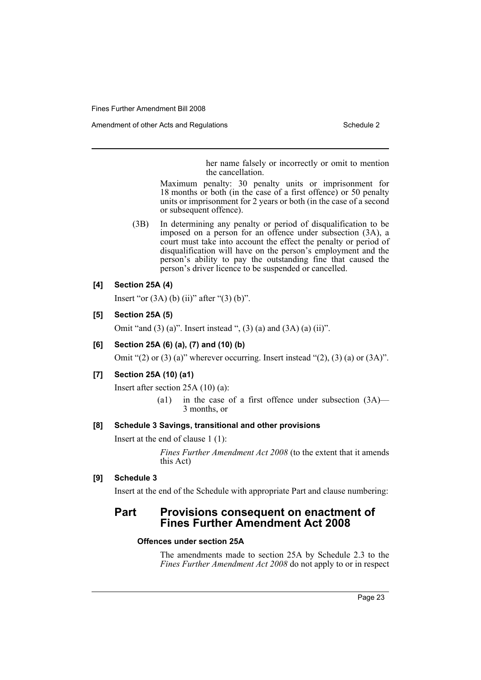her name falsely or incorrectly or omit to mention the cancellation.

Maximum penalty: 30 penalty units or imprisonment for 18 months or both (in the case of a first offence) or 50 penalty units or imprisonment for 2 years or both (in the case of a second or subsequent offence).

(3B) In determining any penalty or period of disqualification to be imposed on a person for an offence under subsection (3A), a court must take into account the effect the penalty or period of disqualification will have on the person's employment and the person's ability to pay the outstanding fine that caused the person's driver licence to be suspended or cancelled.

# **[4] Section 25A (4)**

Insert "or  $(3A)$  (b)  $(ii)$ " after " $(3)$  (b)".

# **[5] Section 25A (5)**

Omit "and  $(3)$  (a)". Insert instead ",  $(3)$  (a) and  $(3A)$  (a)  $(ii)$ ".

# **[6] Section 25A (6) (a), (7) and (10) (b)**

Omit " $(2)$  or  $(3)$   $(a)$ " wherever occurring. Insert instead " $(2)$ ,  $(3)$   $(a)$  or  $(3A)$ ".

# **[7] Section 25A (10) (a1)**

Insert after section 25A (10) (a):

(a1) in the case of a first offence under subsection (3A)— 3 months, or

## **[8] Schedule 3 Savings, transitional and other provisions**

Insert at the end of clause 1 (1):

*Fines Further Amendment Act 2008* (to the extent that it amends this Act)

# **[9] Schedule 3**

Insert at the end of the Schedule with appropriate Part and clause numbering:

# **Part Provisions consequent on enactment of Fines Further Amendment Act 2008**

#### **Offences under section 25A**

The amendments made to section 25A by Schedule 2.3 to the *Fines Further Amendment Act 2008* do not apply to or in respect